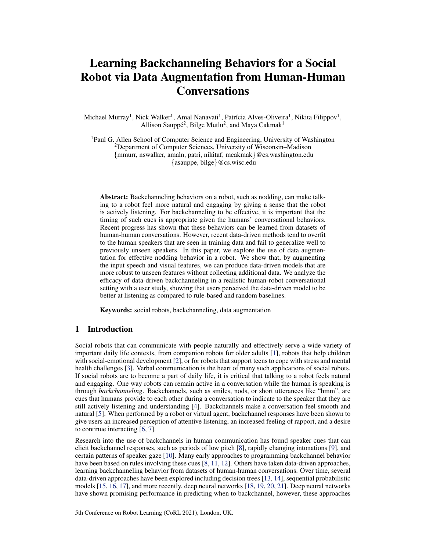# Learning Backchanneling Behaviors for a Social Robot via Data Augmentation from Human-Human **Conversations**

Michael Murray<sup>1</sup>, Nick Walker<sup>1</sup>, Amal Nanavati<sup>1</sup>, Patrícia Alves-Oliveira<sup>1</sup>, Nikita Filippov<sup>1</sup>, Allison Sauppé<sup>2</sup>, Bilge Mutlu<sup>2</sup>, and Maya Cakmak<sup>1</sup>

<sup>1</sup>Paul G. Allen School of Computer Science and Engineering, University of Washington <sup>2</sup>Department of Computer Sciences, University of Wisconsin–Madison {mmurr, nswalker, amaln, patri, nikitaf, mcakmak}@cs.washington.edu {asauppe, bilge}@cs.wisc.edu

Abstract: Backchanneling behaviors on a robot, such as nodding, can make talking to a robot feel more natural and engaging by giving a sense that the robot is actively listening. For backchanneling to be effective, it is important that the timing of such cues is appropriate given the humans' conversational behaviors. Recent progress has shown that these behaviors can be learned from datasets of human-human conversations. However, recent data-driven methods tend to overfit to the human speakers that are seen in training data and fail to generalize well to previously unseen speakers. In this paper, we explore the use of data augmentation for effective nodding behavior in a robot. We show that, by augmenting the input speech and visual features, we can produce data-driven models that are more robust to unseen features without collecting additional data. We analyze the efficacy of data-driven backchanneling in a realistic human-robot conversational setting with a user study, showing that users perceived the data-driven model to be better at listening as compared to rule-based and random baselines.

Keywords: social robots, backchanneling, data augmentation

# 1 Introduction

Social robots that can communicate with people naturally and effectively serve a wide variety of important daily life contexts, from companion robots for older adults [\[1\]](#page-8-0), robots that help children with social-emotional development [\[2\]](#page-8-0), or for robots that support teens to cope with stress and mental health challenges [\[3\]](#page-8-0). Verbal communication is the heart of many such applications of social robots. If social robots are to become a part of daily life, it is critical that talking to a robot feels natural and engaging. One way robots can remain active in a conversation while the human is speaking is through *backchanneling*. Backchannels, such as smiles, nods, or short utterances like "hmm", are cues that humans provide to each other during a conversation to indicate to the speaker that they are still actively listening and understanding [\[4\]](#page-8-0). Backchannels make a conversation feel smooth and natural [\[5\]](#page-8-0). When performed by a robot or virtual agent, backchannel responses have been shown to give users an increased perception of attentive listening, an increased feeling of rapport, and a desire to continue interacting [\[6,](#page-8-0) [7\]](#page-8-0).

Research into the use of backchannels in human communication has found speaker cues that can elicit backchannel responses, such as periods of low pitch [\[8\]](#page-8-0), rapidly changing intonations [\[9\]](#page-8-0), and certain patterns of speaker gaze [\[10\]](#page-8-0). Many early approaches to programming backchannel behavior have been based on rules involving these cues [\[8,](#page-8-0) [11,](#page-8-0) [12\]](#page-8-0). Others have taken data-driven approaches, learning backchanneling behavior from datasets of human-human conversations. Over time, several data-driven approaches have been explored including decision trees [\[13,](#page-8-0) [14\]](#page-8-0), sequential probabilistic models [\[15,](#page-8-0) [16,](#page-9-0) [17\]](#page-9-0), and more recently, deep neural networks [\[18,](#page-9-0) [19,](#page-9-0) [20,](#page-9-0) [21\]](#page-9-0). Deep neural networks have shown promising performance in predicting when to backchannel, however, these approaches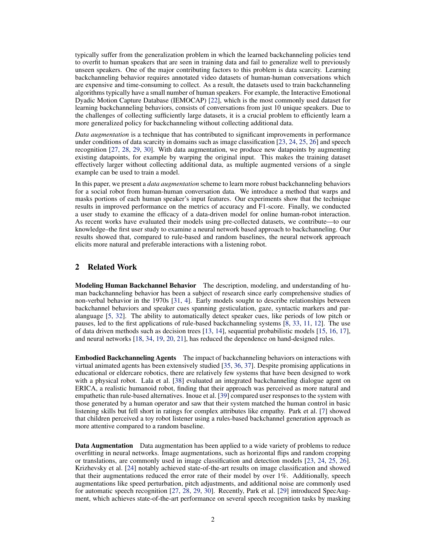typically suffer from the generalization problem in which the learned backchanneling policies tend to overfit to human speakers that are seen in training data and fail to generalize well to previously unseen speakers. One of the major contributing factors to this problem is data scarcity. Learning backchanneling behavior requires annotated video datasets of human-human conversations which are expensive and time-consuming to collect. As a result, the datasets used to train backchanneling algorithms typically have a small number of human speakers. For example, the Interactive Emotional Dyadic Motion Capture Database (IEMOCAP) [\[22\]](#page-9-0), which is the most commonly used dataset for learning backchanneling behaviors, consists of conversations from just 10 unique speakers. Due to the challenges of collecting sufficiently large datasets, it is a crucial problem to efficiently learn a more generalized policy for backchanneling without collecting additional data.

*Data augmentation* is a technique that has contributed to significant improvements in performance under conditions of data scarcity in domains such as image classification [\[23,](#page-9-0) [24,](#page-9-0) [25,](#page-9-0) [26\]](#page-9-0) and speech recognition [\[27,](#page-9-0) [28,](#page-9-0) [29,](#page-9-0) [30\]](#page-9-0). With data augmentation, we produce new datapoints by augmenting existing datapoints, for example by warping the original input. This makes the training dataset effectively larger without collecting additional data, as multiple augmented versions of a single example can be used to train a model.

In this paper, we present a *data augmentation* scheme to learn more robust backchanneling behaviors for a social robot from human-human conversation data. We introduce a method that warps and masks portions of each human speaker's input features. Our experiments show that the technique results in improved performance on the metrics of accuracy and F1-score. Finally, we conducted a user study to examine the efficacy of a data-driven model for online human-robot interaction. As recent works have evaluated their models using pre-collected datasets, we contribute—to our knowledge–the first user study to examine a neural network based approach to backchanneling. Our results showed that, compared to rule-based and random baselines, the neural network approach elicits more natural and preferable interactions with a listening robot.

### 2 Related Work

Modeling Human Backchannel Behavior The description, modeling, and understanding of human backchanneling behavior has been a subject of research since early comprehensive studies of non-verbal behavior in the 1970s [\[31,](#page-10-0) [4\]](#page-8-0). Early models sought to describe relationships between backchannel behaviors and speaker cues spanning gesticulation, gaze, syntactic markers and paralanguage [\[5,](#page-8-0) [32\]](#page-10-0). The ability to automatically detect speaker cues, like periods of low pitch or pauses, led to the first applications of rule-based backchanneling systems [\[8,](#page-8-0) [33,](#page-10-0) [11,](#page-8-0) [12\]](#page-8-0). The use of data driven methods such as decision trees [\[13,](#page-8-0) [14\]](#page-8-0), sequential probabilistic models [\[15,](#page-8-0) [16,](#page-9-0) [17\]](#page-9-0), and neural networks [\[18,](#page-9-0) [34,](#page-10-0) [19,](#page-9-0) [20,](#page-9-0) [21\]](#page-9-0), has reduced the dependence on hand-designed rules.

Embodied Backchanneling Agents The impact of backchanneling behaviors on interactions with virtual animated agents has been extensively studied [\[35,](#page-10-0) [36,](#page-10-0) [37\]](#page-10-0). Despite promising applications in educational or eldercare robotics, there are relatively few systems that have been designed to work with a physical robot. Lala et al. [\[38\]](#page-10-0) evaluated an integrated backchanneling dialogue agent on ERICA, a realistic humanoid robot, finding that their approach was perceived as more natural and empathetic than rule-based alternatives. Inoue et al. [\[39\]](#page-10-0) compared user responses to the system with those generated by a human operator and saw that their system matched the human control in basic listening skills but fell short in ratings for complex attributes like empathy. Park et al. [\[7\]](#page-8-0) showed that children perceived a toy robot listener using a rules-based backchannel generation approach as more attentive compared to a random baseline.

Data Augmentation Data augmentation has been applied to a wide variety of problems to reduce overfitting in neural networks. Image augmentations, such as horizontal flips and random cropping or translations, are commonly used in image classification and detection models [\[23,](#page-9-0) [24,](#page-9-0) [25,](#page-9-0) [26\]](#page-9-0). Krizhevsky et al. [\[24\]](#page-9-0) notably achieved state-of-the-art results on image classification and showed that their augmentations reduced the error rate of their model by over 1%. Additionally, speech augmentations like speed perturbation, pitch adjustments, and additional noise are commonly used for automatic speech recognition [\[27,](#page-9-0) [28,](#page-9-0) [29,](#page-9-0) [30\]](#page-9-0). Recently, Park et al. [\[29\]](#page-9-0) introduced SpecAugment, which achieves state-of-the-art performance on several speech recognition tasks by masking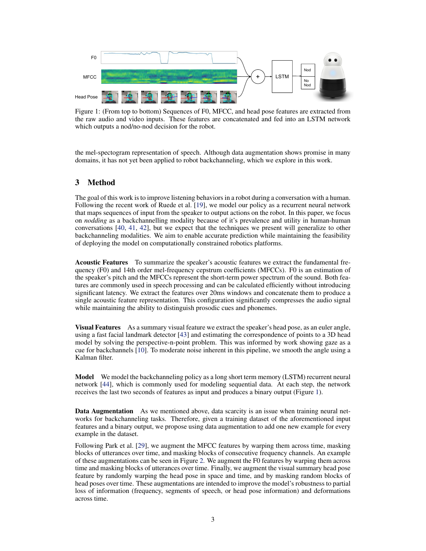<span id="page-2-0"></span>

Figure 1: (From top to bottom) Sequences of F0, MFCC, and head pose features are extracted from the raw audio and video inputs. These features are concatenated and fed into an LSTM network which outputs a nod/no-nod decision for the robot.

the mel-spectogram representation of speech. Although data augmentation shows promise in many domains, it has not yet been applied to robot backchanneling, which we explore in this work.

# 3 Method

The goal of this work is to improve listening behaviors in a robot during a conversation with a human. Following the recent work of Ruede et al. [\[19\]](#page-9-0), we model our policy as a recurrent neural network that maps sequences of input from the speaker to output actions on the robot. In this paper, we focus on *nodding* as a backchannelling modality because of it's prevalence and utility in human-human conversations [\[40,](#page-10-0) [41,](#page-10-0) [42\]](#page-10-0), but we expect that the techniques we present will generalize to other backchanneling modalities. We aim to enable accurate prediction while maintaining the feasibility of deploying the model on computationally constrained robotics platforms.

Acoustic Features To summarize the speaker's acoustic features we extract the fundamental frequency (F0) and 14th order mel-frequency cepstrum coefficients (MFCCs). F0 is an estimation of the speaker's pitch and the MFCCs represent the short-term power spectrum of the sound. Both features are commonly used in speech processing and can be calculated efficiently without introducing significant latency. We extract the features over 20ms windows and concatenate them to produce a single acoustic feature representation. This configuration significantly compresses the audio signal while maintaining the ability to distinguish prosodic cues and phonemes.

**Visual Features** As a summary visual feature we extract the speaker's head pose, as an euler angle, using a fast facial landmark detector [\[43\]](#page-10-0) and estimating the correspondence of points to a 3D head model by solving the perspective-n-point problem. This was informed by work showing gaze as a cue for backchannels [\[10\]](#page-8-0). To moderate noise inherent in this pipeline, we smooth the angle using a Kalman filter.

Model We model the backchanneling policy as a long short term memory (LSTM) recurrent neural network [\[44\]](#page-10-0), which is commonly used for modeling sequential data. At each step, the network receives the last two seconds of features as input and produces a binary output (Figure 1).

**Data Augmentation** As we mentioned above, data scarcity is an issue when training neural networks for backchanneling tasks. Therefore, given a training dataset of the aforementioned input features and a binary output, we propose using data augmentation to add one new example for every example in the dataset.

Following Park et al. [\[29\]](#page-9-0), we augment the MFCC features by warping them across time, masking blocks of utterances over time, and masking blocks of consecutive frequency channels. An example of these augmentations can be seen in Figure [2.](#page-3-0) We augment the F0 features by warping them across time and masking blocks of utterances over time. Finally, we augment the visual summary head pose feature by randomly warping the head pose in space and time, and by masking random blocks of head poses over time. These augmentations are intended to improve the model's robustness to partial loss of information (frequency, segments of speech, or head pose information) and deformations across time.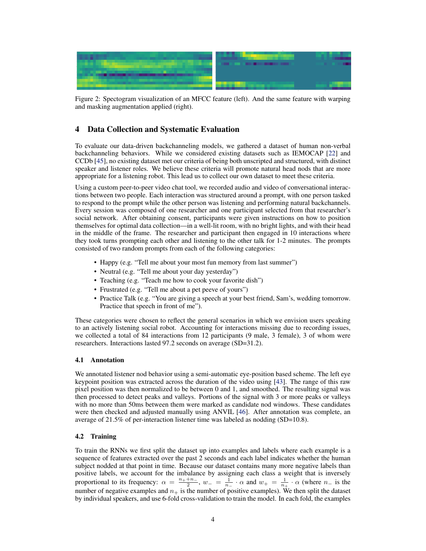<span id="page-3-0"></span>

Figure 2: Spectogram visualization of an MFCC feature (left). And the same feature with warping and masking augmentation applied (right).

# 4 Data Collection and Systematic Evaluation

To evaluate our data-driven backchanneling models, we gathered a dataset of human non-verbal backchanneling behaviors. While we considered existing datasets such as IEMOCAP [\[22\]](#page-9-0) and CCDb [\[45\]](#page-10-0), no existing dataset met our criteria of being both unscripted and structured, with distinct speaker and listener roles. We believe these criteria will promote natural head nods that are more appropriate for a listening robot. This lead us to collect our own dataset to meet these criteria.

Using a custom peer-to-peer video chat tool, we recorded audio and video of conversational interactions between two people. Each interaction was structured around a prompt, with one person tasked to respond to the prompt while the other person was listening and performing natural backchannels. Every session was composed of one researcher and one participant selected from that researcher's social network. After obtaining consent, participants were given instructions on how to position themselves for optimal data collection—in a well-lit room, with no bright lights, and with their head in the middle of the frame. The researcher and participant then engaged in 10 interactions where they took turns prompting each other and listening to the other talk for 1-2 minutes. The prompts consisted of two random prompts from each of the following categories:

- Happy (e.g. "Tell me about your most fun memory from last summer")
- Neutral (e.g. "Tell me about your day yesterday")
- Teaching (e.g. "Teach me how to cook your favorite dish")
- Frustrated (e.g. "Tell me about a pet peeve of yours")
- Practice Talk (e.g. "You are giving a speech at your best friend, Sam's, wedding tomorrow. Practice that speech in front of me").

These categories were chosen to reflect the general scenarios in which we envision users speaking to an actively listening social robot. Accounting for interactions missing due to recording issues, we collected a total of 84 interactions from 12 participants (9 male, 3 female), 3 of whom were researchers. Interactions lasted 97.2 seconds on average (SD=31.2).

#### 4.1 Annotation

We annotated listener nod behavior using a semi-automatic eye-position based scheme. The left eye keypoint position was extracted across the duration of the video using [\[43\]](#page-10-0). The range of this raw pixel position was then normalized to be between 0 and 1, and smoothed. The resulting signal was then processed to detect peaks and valleys. Portions of the signal with 3 or more peaks or valleys with no more than 50ms between them were marked as candidate nod windows. These candidates were then checked and adjusted manually using ANVIL [\[46\]](#page-11-0). After annotation was complete, an average of 21.5% of per-interaction listener time was labeled as nodding (SD=10.8).

# 4.2 Training

To train the RNNs we first split the dataset up into examples and labels where each example is a sequence of features extracted over the past 2 seconds and each label indicates whether the human subject nodded at that point in time. Because our dataset contains many more negative labels than positive labels, we account for the imbalance by assigning each class a weight that is inversely proportional to its frequency:  $\alpha = \frac{n_+ + n_-}{2}$ ,  $w_- = \frac{1}{n_-} \cdot \alpha$  and  $w_+ = \frac{1}{n_+} \cdot \alpha$  (where  $n_-$  is the number of negative examples and  $n_+$  is the number of positive examples). We then split the dataset by individual speakers, and use 6-fold cross-validation to train the model. In each fold, the examples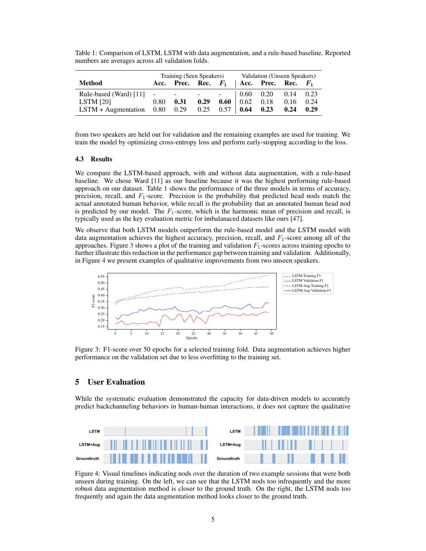Table 1: Comparison of LSTM, LSTM with data augmentation, and a rule-based baseline. Reported numbers are averages across all validation folds.

|                                                        | Training (Seen Speakers) |                                               |      | Validation (Unseen Speakers) |                             |      |      |      |
|--------------------------------------------------------|--------------------------|-----------------------------------------------|------|------------------------------|-----------------------------|------|------|------|
| <b>Method</b>                                          |                          | Acc. Prec. Rec. $F_1$   Acc. Prec. Rec. $F_1$ |      |                              |                             |      |      |      |
| Rule-based (Ward) [11] - - - - -   0.60 0.20 0.14 0.23 |                          |                                               |      |                              |                             |      |      |      |
| LSTM $[20]$                                            | 0.80                     | 0.31                                          | 0.29 |                              | $0.60 \mid 0.62 \quad 0.18$ |      | 0.16 | 0.24 |
| LSTM + Augmentation $0.80$ $0.29$ $0.25$ $0.57$   0.64 |                          |                                               |      |                              |                             | 0.23 | 0.24 | 0.29 |

from two speakers are held out for validation and the remaining examples are used for training. We train the model by optimizing cross-entropy loss and perform early-stopping according to the loss.

#### 4.3 Results

We compare the LSTM-based approach, with and without data augmentation, with a rule-based baseline. We chose Ward [\[11\]](#page-8-0) as our baseline because it was the highest performing rule-based approach on our dataset. Table 1 shows the performance of the three models in terms of accuracy, precision, recall, and  $F_1$ -score. Precision is the probability that predicted head nods match the actual annotated human behavior, while recall is the probability that an annotated human head nod is predicted by our model. The  $F_1$ -score, which is the harmonic mean of precision and recall, is typically used as the key evaluation metric for imbalanaced datasets like ours [\[47\]](#page-11-0).

We observe that both LSTM models outperform the rule-based model and the LSTM model with data augmentation achieves the highest accuracy, precision, recall, and  $F_1$ -score among all of the approaches. Figure 3 shows a plot of the training and validation  $F_1$ -scores across training epochs to further illustrate this reduction in the performance gap between training and validation. Additionally, in Figure 4 we present examples of qualitative improvements from two unseen speakers.



Figure 3: F1-score over 50 epochs for a selected training fold. Data augmentation achieves higher performance on the validation set due to less overfitting to the training set.

#### 5 User Evaluation

While the systematic evaluation demonstrated the capacity for data-driven models to accurately predict backchanneling behaviors in human-human interactions, it does not capture the qualitative



Figure 4: Visual timelines indicating nods over the duration of two example sessions that were both unseen during training. On the left, we can see that the LSTM nods too infrequently and the more robust data augmentation method is closer to the ground truth. On the right, the LSTM nods too frequently and again the data augmentation method looks closer to the ground truth.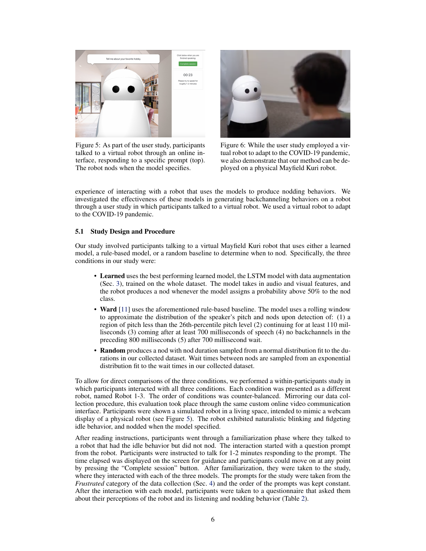

Figure 5: As part of the user study, participants talked to a virtual robot through an online interface, responding to a specific prompt (top). The robot nods when the model specifies.



Figure 6: While the user study employed a virtual robot to adapt to the COVID-19 pandemic, we also demonstrate that our method can be deployed on a physical Mayfield Kuri robot.

experience of interacting with a robot that uses the models to produce nodding behaviors. We investigated the effectiveness of these models in generating backchanneling behaviors on a robot through a user study in which participants talked to a virtual robot. We used a virtual robot to adapt to the COVID-19 pandemic.

#### 5.1 Study Design and Procedure

Our study involved participants talking to a virtual Mayfield Kuri robot that uses either a learned model, a rule-based model, or a random baseline to determine when to nod. Specifically, the three conditions in our study were:

- Learned uses the best performing learned model, the LSTM model with data augmentation (Sec. [3\)](#page-2-0), trained on the whole dataset. The model takes in audio and visual features, and the robot produces a nod whenever the model assigns a probability above 50% to the nod class.
- Ward [\[11\]](#page-8-0) uses the aforementioned rule-based baseline. The model uses a rolling window to approximate the distribution of the speaker's pitch and nods upon detection of: (1) a region of pitch less than the 26th-percentile pitch level (2) continuing for at least 110 milliseconds (3) coming after at least 700 milliseconds of speech (4) no backchannels in the preceding 800 milliseconds (5) after 700 millisecond wait.
- Random produces a nod with nod duration sampled from a normal distribution fit to the durations in our collected dataset. Wait times between nods are sampled from an exponential distribution fit to the wait times in our collected dataset.

To allow for direct comparisons of the three conditions, we performed a within-participants study in which participants interacted with all three conditions. Each condition was presented as a different robot, named Robot 1-3. The order of conditions was counter-balanced. Mirroring our data collection procedure, this evaluation took place through the same custom online video communication interface. Participants were shown a simulated robot in a living space, intended to mimic a webcam display of a physical robot (see Figure 5). The robot exhibited naturalistic blinking and fidgeting idle behavior, and nodded when the model specified.

After reading instructions, participants went through a familiarization phase where they talked to a robot that had the idle behavior but did not nod. The interaction started with a question prompt from the robot. Participants were instructed to talk for 1-2 minutes responding to the prompt. The time elapsed was displayed on the screen for guidance and participants could move on at any point by pressing the "Complete session" button. After familiarization, they were taken to the study, where they interacted with each of the three models. The prompts for the study were taken from the *Frustrated* category of the data collection (Sec. [4\)](#page-3-0) and the order of the prompts was kept constant. After the interaction with each model, participants were taken to a questionnaire that asked them about their perceptions of the robot and its listening and nodding behavior (Table [2\)](#page-6-0).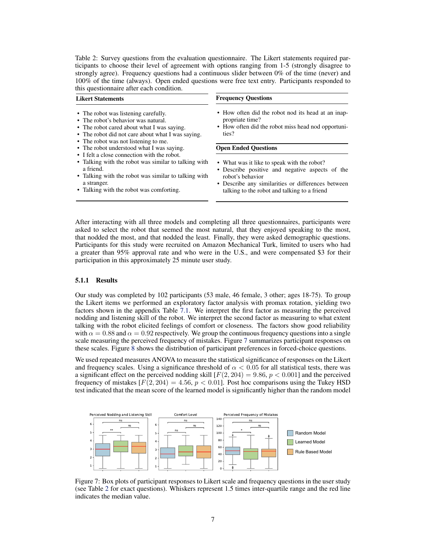<span id="page-6-0"></span>Table 2: Survey questions from the evaluation questionnaire. The Likert statements required participants to choose their level of agreement with options ranging from 1-5 (strongly disagree to strongly agree). Frequency questions had a continuous slider between 0% of the time (never) and 100% of the time (always). Open ended questions were free text entry. Participants responded to this questionnaire after each condition.

| <b>Likert Statements</b>                                                                                                                                                                                               | <b>Frequency Questions</b>                                                                                                           |  |  |  |  |
|------------------------------------------------------------------------------------------------------------------------------------------------------------------------------------------------------------------------|--------------------------------------------------------------------------------------------------------------------------------------|--|--|--|--|
| • The robot was listening carefully.<br>• The robot's behavior was natural.<br>• The robot cared about what I was saying.<br>• The robot did not care about what I was saying.<br>• The robot was not listening to me. | • How often did the robot nod its head at an inap-<br>propriate time?<br>• How often did the robot miss head nod opportuni-<br>ties? |  |  |  |  |
| • The robot understood what I was saying.                                                                                                                                                                              | <b>Open Ended Questions</b>                                                                                                          |  |  |  |  |
| • I felt a close connection with the robot.                                                                                                                                                                            |                                                                                                                                      |  |  |  |  |
| • Talking with the robot was similar to talking with                                                                                                                                                                   | • What was it like to speak with the robot?                                                                                          |  |  |  |  |
| a friend.                                                                                                                                                                                                              | • Describe positive and negative aspects of the                                                                                      |  |  |  |  |
| • Talking with the robot was similar to talking with                                                                                                                                                                   | robot's behavior                                                                                                                     |  |  |  |  |
| a stranger.                                                                                                                                                                                                            | • Describe any similarities or differences between                                                                                   |  |  |  |  |
| • Talking with the robot was comforting.                                                                                                                                                                               | talking to the robot and talking to a friend                                                                                         |  |  |  |  |

After interacting with all three models and completing all three questionnaires, participants were asked to select the robot that seemed the most natural, that they enjoyed speaking to the most, that nodded the most, and that nodded the least. Finally, they were asked demographic questions. Participants for this study were recruited on Amazon Mechanical Turk, limited to users who had a greater than 95% approval rate and who were in the U.S., and were compensated \$3 for their participation in this approximately 25 minute user study.

#### 5.1.1 Results

Our study was completed by 102 participants (53 male, 46 female, 3 other; ages 18-75). To group the Likert items we performed an exploratory factor analysis with promax rotation, yielding two factors shown in the appendix Table [7.1.](#page-12-0) We interpret the first factor as measuring the perceived nodding and listening skill of the robot. We interpret the second factor as measuring to what extent talking with the robot elicited feelings of comfort or closeness. The factors show good reliability with  $\alpha = 0.88$  and  $\alpha = 0.92$  respectively. We group the continuous frequency questions into a single scale measuring the perceived frequency of mistakes. Figure 7 summarizes participant responses on these scales. Figure [8](#page-7-0) shows the distribution of participant preferences in forced-choice questions.

We used repeated measures ANOVA to measure the statistical significance of responses on the Likert and frequency scales. Using a significance threshold of  $\alpha < 0.05$  for all statistical tests, there was a significant effect on the perceived nodding skill  $[F(2, 204) = 9.86, p < 0.001]$  and the perceived frequency of mistakes  $[F(2, 204) = 4.56, p < 0.01]$ . Post hoc comparisons using the Tukey HSD test indicated that the mean score of the learned model is significantly higher than the random model



Figure 7: Box plots of participant responses to Likert scale and frequency questions in the user study (see Table 2 for exact questions). Whiskers represent 1.5 times inter-quartile range and the red line indicates the median value.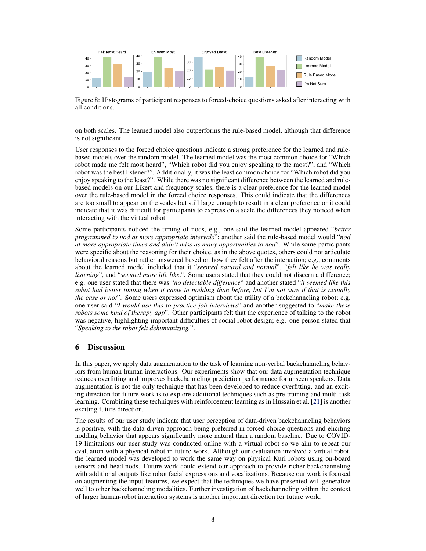<span id="page-7-0"></span>

Figure 8: Histograms of participant responses to forced-choice questions asked after interacting with all conditions.

on both scales. The learned model also outperforms the rule-based model, although that difference is not significant.

User responses to the forced choice questions indicate a strong preference for the learned and rulebased models over the random model. The learned model was the most common choice for "Which robot made me felt most heard", "Which robot did you enjoy speaking to the most?", and "Which robot was the best listener?". Additionally, it was the least common choice for "Which robot did you enjoy speaking to the least?". While there was no significant difference between the learned and rulebased models on our Likert and frequency scales, there is a clear preference for the learned model over the rule-based model in the forced choice responses. This could indicate that the differences are too small to appear on the scales but still large enough to result in a clear preference or it could indicate that it was difficult for participants to express on a scale the differences they noticed when interacting with the virtual robot.

Some participants noticed the timing of nods, e.g., one said the learned model appeared "*better programmed to nod at more appropriate intervals*"; another said the rule-based model would "*nod at more appropriate times and didn't miss as many opportunities to nod*". While some participants were specific about the reasoning for their choice, as in the above quotes, others could not articulate behavioral reasons but rather answered based on how they felt after the interaction; e.g., comments about the learned model included that it "*seemed natural and normal*", "*felt like he was really listening*", and "*seemed more life like*.". Some users stated that they could not discern a difference; e.g. one user stated that there was "*no detectable difference*" and another stated "*it seemed like this robot had better timing when it came to nodding than before, but I'm not sure if that is actually the case or not*". Some users expressed optimism about the utility of a backchanneling robot; e.g. one user said "*I would use this to practice job interviews*" and another suggested to "*make these robots some kind of therapy app*". Other participants felt that the experience of talking to the robot was negative, highlighting important difficulties of social robot design; e.g. one person stated that "*Speaking to the robot felt dehumanizing.*".

# 6 Discussion

In this paper, we apply data augmentation to the task of learning non-verbal backchanneling behaviors from human-human interactions. Our experiments show that our data augmentation technique reduces overfitting and improves backchanneling prediction performance for unseen speakers. Data augmentation is not the only technique that has been developed to reduce overfitting, and an exciting direction for future work is to explore additional techniques such as pre-training and multi-task learning. Combining these techniques with reinforcement learning as in Hussain et al. [\[21\]](#page-9-0) is another exciting future direction.

The results of our user study indicate that user perception of data-driven backchanneling behaviors is positive, with the data-driven approach being preferred in forced choice questions and eliciting nodding behavior that appears significantly more natural than a random baseline. Due to COVID-19 limitations our user study was conducted online with a virtual robot so we aim to repeat our evaluation with a physical robot in future work. Although our evaluation involved a virtual robot, the learned model was developed to work the same way on physical Kuri robots using on-board sensors and head nods. Future work could extend our approach to provide richer backchanneling with additional outputs like robot facial expressions and vocalizations. Because our work is focused on augmenting the input features, we expect that the techniques we have presented will generalize well to other backchanneling modalities. Further investigation of backchanneling within the context of larger human-robot interaction systems is another important direction for future work.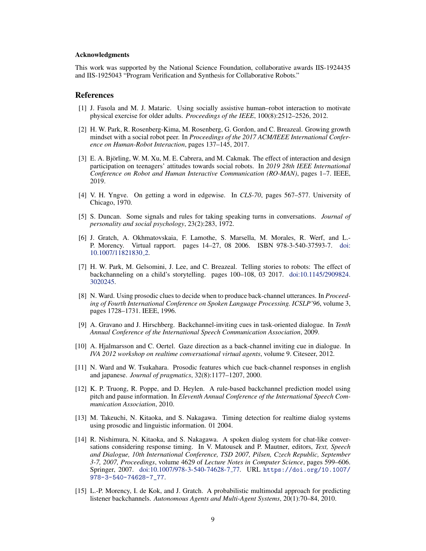#### <span id="page-8-0"></span>Acknowledgments

This work was supported by the National Science Foundation, collaborative awards IIS-1924435 and IIS-1925043 "Program Verification and Synthesis for Collaborative Robots."

#### References

- [1] J. Fasola and M. J. Mataric. Using socially assistive human–robot interaction to motivate physical exercise for older adults. *Proceedings of the IEEE*, 100(8):2512–2526, 2012.
- [2] H. W. Park, R. Rosenberg-Kima, M. Rosenberg, G. Gordon, and C. Breazeal. Growing growth mindset with a social robot peer. In *Proceedings of the 2017 ACM/IEEE International Conference on Human-Robot Interaction*, pages 137–145, 2017.
- [3] E. A. Björling, W. M. Xu, M. E. Cabrera, and M. Cakmak. The effect of interaction and design participation on teenagers' attitudes towards social robots. In *2019 28th IEEE International Conference on Robot and Human Interactive Communication (RO-MAN)*, pages 1–7. IEEE, 2019.
- [4] V. H. Yngve. On getting a word in edgewise. In *CLS-70*, pages 567–577. University of Chicago, 1970.
- [5] S. Duncan. Some signals and rules for taking speaking turns in conversations. *Journal of personality and social psychology*, 23(2):283, 1972.
- [6] J. Gratch, A. Okhmatovskaia, F. Lamothe, S. Marsella, M. Morales, R. Werf, and L.- P. Morency. Virtual rapport. pages 14–27, 08 2006. ISBN 978-3-540-37593-7. [doi:](http://dx.doi.org/10.1007/11821830_2) [10.1007/11821830](http://dx.doi.org/10.1007/11821830_2) 2.
- [7] H. W. Park, M. Gelsomini, J. Lee, and C. Breazeal. Telling stories to robots: The effect of backchanneling on a child's storytelling. pages 100–108, 03 2017. [doi:10.1145/2909824.](http://dx.doi.org/10.1145/2909824.3020245) [3020245.](http://dx.doi.org/10.1145/2909824.3020245)
- [8] N. Ward. Using prosodic clues to decide when to produce back-channel utterances. In *Proceeding of Fourth International Conference on Spoken Language Processing. ICSLP'96*, volume 3, pages 1728–1731. IEEE, 1996.
- [9] A. Gravano and J. Hirschberg. Backchannel-inviting cues in task-oriented dialogue. In *Tenth Annual Conference of the International Speech Communication Association*, 2009.
- [10] A. Hjalmarsson and C. Oertel. Gaze direction as a back-channel inviting cue in dialogue. In *IVA 2012 workshop on realtime conversational virtual agents*, volume 9. Citeseer, 2012.
- [11] N. Ward and W. Tsukahara. Prosodic features which cue back-channel responses in english and japanese. *Journal of pragmatics*, 32(8):1177–1207, 2000.
- [12] K. P. Truong, R. Poppe, and D. Heylen. A rule-based backchannel prediction model using pitch and pause information. In *Eleventh Annual Conference of the International Speech Communication Association*, 2010.
- [13] M. Takeuchi, N. Kitaoka, and S. Nakagawa. Timing detection for realtime dialog systems using prosodic and linguistic information. 01 2004.
- [14] R. Nishimura, N. Kitaoka, and S. Nakagawa. A spoken dialog system for chat-like conversations considering response timing. In V. Matousek and P. Mautner, editors, *Text, Speech and Dialogue, 10th International Conference, TSD 2007, Pilsen, Czech Republic, September 3-7, 2007, Proceedings*, volume 4629 of *Lecture Notes in Computer Science*, pages 599–606. Springer, 2007. [doi:10.1007/978-3-540-74628-7](http://dx.doi.org/10.1007/978-3-540-74628-7_77) 77. URL [https://doi.org/10.1007/](https://doi.org/10.1007/978-3-540-74628-7_77) [978-3-540-74628-7\\_77](https://doi.org/10.1007/978-3-540-74628-7_77).
- [15] L.-P. Morency, I. de Kok, and J. Gratch. A probabilistic multimodal approach for predicting listener backchannels. *Autonomous Agents and Multi-Agent Systems*, 20(1):70–84, 2010.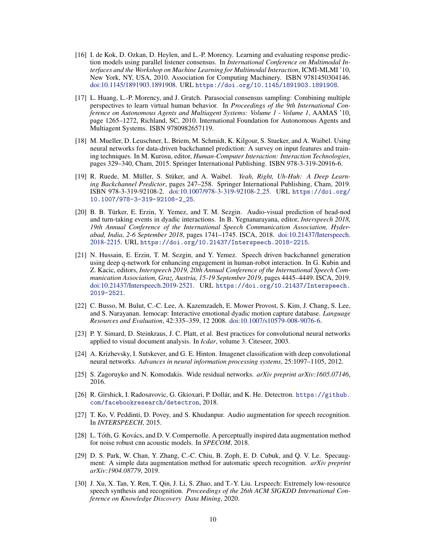- <span id="page-9-0"></span>[16] I. de Kok, D. Ozkan, D. Heylen, and L.-P. Morency. Learning and evaluating response prediction models using parallel listener consensus. In *International Conference on Multimodal Interfaces and the Workshop on Machine Learning for Multimodal Interaction*, ICMI-MLMI '10, New York, NY, USA, 2010. Association for Computing Machinery. ISBN 9781450304146. [doi:10.1145/1891903.1891908.](http://dx.doi.org/10.1145/1891903.1891908) URL <https://doi.org/10.1145/1891903.1891908>.
- [17] L. Huang, L.-P. Morency, and J. Gratch. Parasocial consensus sampling: Combining multiple perspectives to learn virtual human behavior. In *Proceedings of the 9th International Conference on Autonomous Agents and Multiagent Systems: Volume 1 - Volume 1*, AAMAS '10, page 1265–1272, Richland, SC, 2010. International Foundation for Autonomous Agents and Multiagent Systems. ISBN 9780982657119.
- [18] M. Mueller, D. Leuschner, L. Briem, M. Schmidt, K. Kilgour, S. Stueker, and A. Waibel. Using neural networks for data-driven backchannel prediction: A survey on input features and training techniques. In M. Kurosu, editor, *Human-Computer Interaction: Interaction Technologies*, pages 329–340, Cham, 2015. Springer International Publishing. ISBN 978-3-319-20916-6.
- [19] R. Ruede, M. Müller, S. Stüker, and A. Waibel. *Yeah, Right, Uh-Huh: A Deep Learning Backchannel Predictor*, pages 247–258. Springer International Publishing, Cham, 2019. ISBN 978-3-319-92108-2. [doi:10.1007/978-3-319-92108-2](http://dx.doi.org/10.1007/978-3-319-92108-2_25) 25. URL [https://doi.org/](https://doi.org/10.1007/978-3-319-92108-2_25) [10.1007/978-3-319-92108-2\\_25](https://doi.org/10.1007/978-3-319-92108-2_25).
- [20] B. B. Türker, E. Erzin, Y. Yemez, and T. M. Sezgin. Audio-visual prediction of head-nod and turn-taking events in dyadic interactions. In B. Yegnanarayana, editor, *Interspeech 2018, 19th Annual Conference of the International Speech Communication Association, Hyderabad, India, 2-6 September 2018*, pages 1741–1745. ISCA, 2018. [doi:10.21437/Interspeech.](http://dx.doi.org/10.21437/Interspeech.2018-2215) [2018-2215.](http://dx.doi.org/10.21437/Interspeech.2018-2215) URL <https://doi.org/10.21437/Interspeech.2018-2215>.
- [21] N. Hussain, E. Erzin, T. M. Sezgin, and Y. Yemez. Speech driven backchannel generation using deep q-network for enhancing engagement in human-robot interaction. In G. Kubin and Z. Kacic, editors, *Interspeech 2019, 20th Annual Conference of the International Speech Communication Association, Graz, Austria, 15-19 September 2019*, pages 4445–4449. ISCA, 2019. [doi:10.21437/Interspeech.2019-2521.](http://dx.doi.org/10.21437/Interspeech.2019-2521) URL [https://doi.org/10.21437/Interspeech.](https://doi.org/10.21437/Interspeech.2019-2521) [2019-2521](https://doi.org/10.21437/Interspeech.2019-2521).
- [22] C. Busso, M. Bulut, C.-C. Lee, A. Kazemzadeh, E. Mower Provost, S. Kim, J. Chang, S. Lee, and S. Narayanan. Iemocap: Interactive emotional dyadic motion capture database. *Language Resources and Evaluation*, 42:335–359, 12 2008. [doi:10.1007/s10579-008-9076-6.](http://dx.doi.org/10.1007/s10579-008-9076-6)
- [23] P. Y. Simard, D. Steinkraus, J. C. Platt, et al. Best practices for convolutional neural networks applied to visual document analysis. In *Icdar*, volume 3. Citeseer, 2003.
- [24] A. Krizhevsky, I. Sutskever, and G. E. Hinton. Imagenet classification with deep convolutional neural networks. *Advances in neural information processing systems*, 25:1097–1105, 2012.
- [25] S. Zagoruyko and N. Komodakis. Wide residual networks. *arXiv preprint arXiv:1605.07146*, 2016.
- [26] R. Girshick, I. Radosavovic, G. Gkioxari, P. Dollár, and K. He. Detectron. [https://github.](https://github.com/facebookresearch/detectron) [com/facebookresearch/detectron](https://github.com/facebookresearch/detectron), 2018.
- [27] T. Ko, V. Peddinti, D. Povey, and S. Khudanpur. Audio augmentation for speech recognition. In *INTERSPEECH*, 2015.
- [28] L. Tóth, G. Kovács, and D. V. Compernolle. A perceptually inspired data augmentation method for noise robust cnn acoustic models. In *SPECOM*, 2018.
- [29] D. S. Park, W. Chan, Y. Zhang, C.-C. Chiu, B. Zoph, E. D. Cubuk, and Q. V. Le. Specaugment: A simple data augmentation method for automatic speech recognition. *arXiv preprint arXiv:1904.08779*, 2019.
- [30] J. Xu, X. Tan, Y. Ren, T. Qin, J. Li, S. Zhao, and T.-Y. Liu. Lrspeech: Extremely low-resource speech synthesis and recognition. *Proceedings of the 26th ACM SIGKDD International Conference on Knowledge Discovery Data Mining*, 2020.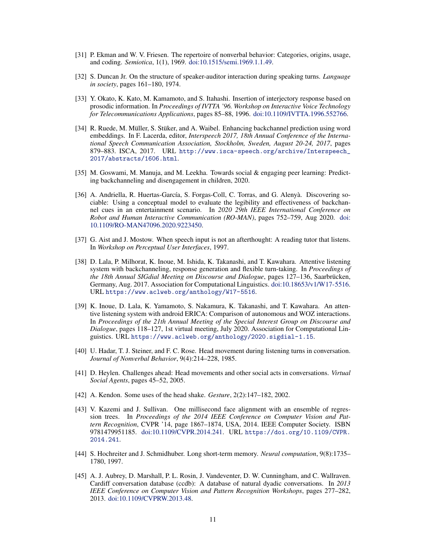- <span id="page-10-0"></span>[31] P. Ekman and W. V. Friesen. The repertoire of nonverbal behavior: Categories, origins, usage, and coding. *Semiotica*, 1(1), 1969. [doi:10.1515/semi.1969.1.1.49.](http://dx.doi.org/10.1515/semi.1969.1.1.49)
- [32] S. Duncan Jr. On the structure of speaker-auditor interaction during speaking turns. *Language in society*, pages 161–180, 1974.
- [33] Y. Okato, K. Kato, M. Kamamoto, and S. Itahashi. Insertion of interjectory response based on prosodic information. In *Proceedings of IVTTA '96. Workshop on Interactive Voice Technology for Telecommunications Applications*, pages 85–88, 1996. [doi:10.1109/IVTTA.1996.552766.](http://dx.doi.org/10.1109/IVTTA.1996.552766)
- [34] R. Ruede, M. Müller, S. Stüker, and A. Waibel. Enhancing backchannel prediction using word embeddings. In F. Lacerda, editor, *Interspeech 2017, 18th Annual Conference of the International Speech Communication Association, Stockholm, Sweden, August 20-24, 2017*, pages 879–883. ISCA, 2017. URL [http://www.isca-speech.org/archive/Interspeech\\_](http://www.isca-speech.org/archive/Interspeech_2017/abstracts/1606.html) [2017/abstracts/1606.html](http://www.isca-speech.org/archive/Interspeech_2017/abstracts/1606.html).
- [35] M. Goswami, M. Manuja, and M. Leekha. Towards social & engaging peer learning: Predicting backchanneling and disengagement in children, 2020.
- [36] A. Andriella, R. Huertas-García, S. Forgas-Coll, C. Torras, and G. Alenyà. Discovering sociable: Using a conceptual model to evaluate the legibility and effectiveness of backchannel cues in an entertainment scenario. In *2020 29th IEEE International Conference on Robot and Human Interactive Communication (RO-MAN)*, pages 752–759, Aug 2020. [doi:](http://dx.doi.org/10.1109/RO-MAN47096.2020.9223450) [10.1109/RO-MAN47096.2020.9223450.](http://dx.doi.org/10.1109/RO-MAN47096.2020.9223450)
- [37] G. Aist and J. Mostow. When speech input is not an afterthought: A reading tutor that listens. In *Workshop on Perceptual User Interfaces*, 1997.
- [38] D. Lala, P. Milhorat, K. Inoue, M. Ishida, K. Takanashi, and T. Kawahara. Attentive listening system with backchanneling, response generation and flexible turn-taking. In *Proceedings of the 18th Annual SIGdial Meeting on Discourse and Dialogue*, pages 127–136, Saarbrücken, Germany, Aug. 2017. Association for Computational Linguistics. [doi:10.18653/v1/W17-5516.](http://dx.doi.org/10.18653/v1/W17-5516) URL <https://www.aclweb.org/anthology/W17-5516>.
- [39] K. Inoue, D. Lala, K. Yamamoto, S. Nakamura, K. Takanashi, and T. Kawahara. An attentive listening system with android ERICA: Comparison of autonomous and WOZ interactions. In *Proceedings of the 21th Annual Meeting of the Special Interest Group on Discourse and Dialogue*, pages 118–127, 1st virtual meeting, July 2020. Association for Computational Linguistics. URL <https://www.aclweb.org/anthology/2020.sigdial-1.15>.
- [40] U. Hadar, T. J. Steiner, and F. C. Rose. Head movement during listening turns in conversation. *Journal of Nonverbal Behavior*, 9(4):214–228, 1985.
- [41] D. Heylen. Challenges ahead: Head movements and other social acts in conversations. *Virtual Social Agents*, pages 45–52, 2005.
- [42] A. Kendon. Some uses of the head shake. *Gesture*, 2(2):147–182, 2002.
- [43] V. Kazemi and J. Sullivan. One millisecond face alignment with an ensemble of regression trees. In *Proceedings of the 2014 IEEE Conference on Computer Vision and Pattern Recognition*, CVPR '14, page 1867–1874, USA, 2014. IEEE Computer Society. ISBN 9781479951185. [doi:10.1109/CVPR.2014.241.](http://dx.doi.org/10.1109/CVPR.2014.241) URL [https://doi.org/10.1109/CVPR.](https://doi.org/10.1109/CVPR.2014.241) [2014.241](https://doi.org/10.1109/CVPR.2014.241).
- [44] S. Hochreiter and J. Schmidhuber. Long short-term memory. *Neural computation*, 9(8):1735– 1780, 1997.
- [45] A. J. Aubrey, D. Marshall, P. L. Rosin, J. Vandeventer, D. W. Cunningham, and C. Wallraven. Cardiff conversation database (ccdb): A database of natural dyadic conversations. In *2013 IEEE Conference on Computer Vision and Pattern Recognition Workshops*, pages 277–282, 2013. [doi:10.1109/CVPRW.2013.48.](http://dx.doi.org/10.1109/CVPRW.2013.48)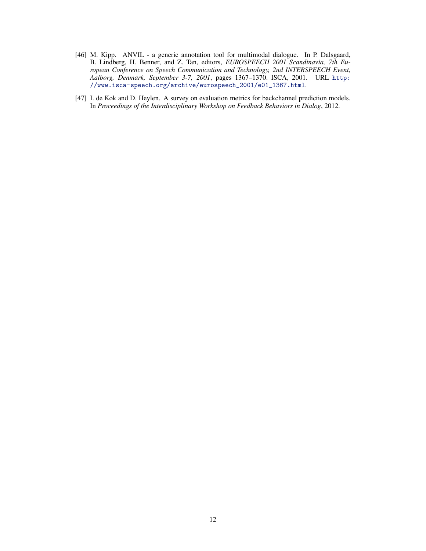- <span id="page-11-0"></span>[46] M. Kipp. ANVIL - a generic annotation tool for multimodal dialogue. In P. Dalsgaard, B. Lindberg, H. Benner, and Z. Tan, editors, *EUROSPEECH 2001 Scandinavia, 7th European Conference on Speech Communication and Technology, 2nd INTERSPEECH Event, Aalborg, Denmark, September 3-7, 2001*, pages 1367–1370. ISCA, 2001. URL [http:](http://www.isca-speech.org/archive/eurospeech_2001/e01_1367.html) [//www.isca-speech.org/archive/eurospeech\\_2001/e01\\_1367.html](http://www.isca-speech.org/archive/eurospeech_2001/e01_1367.html).
- [47] I. de Kok and D. Heylen. A survey on evaluation metrics for backchannel prediction models. In *Proceedings of the Interdisciplinary Workshop on Feedback Behaviors in Dialog*, 2012.